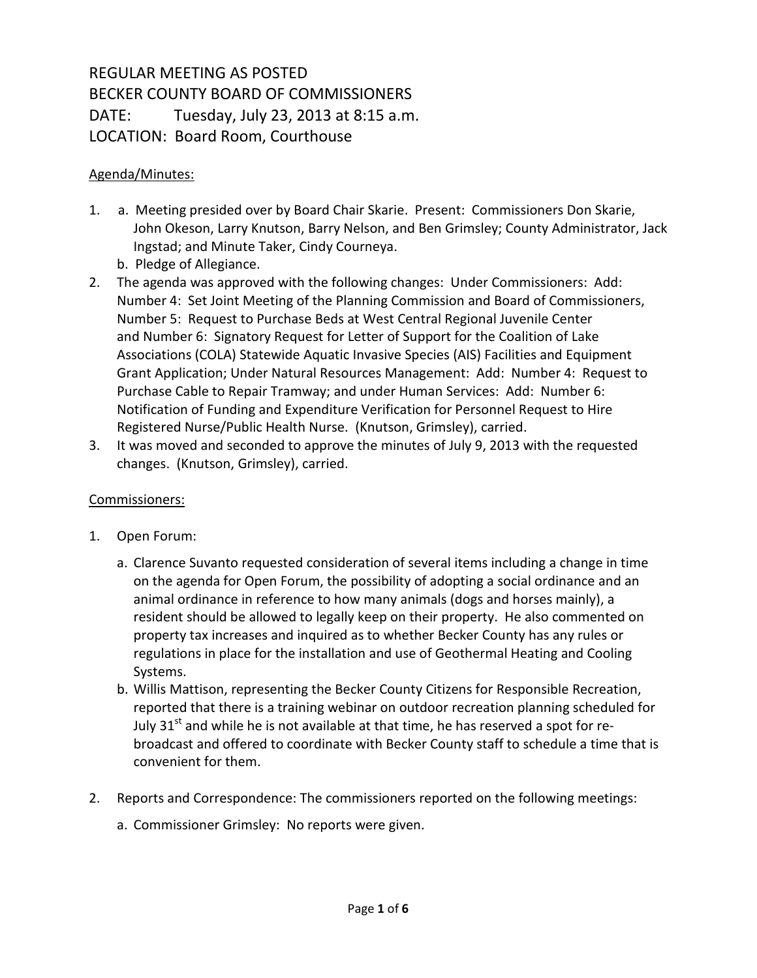# REGULAR MEETING AS POSTED BECKER COUNTY BOARD OF COMMISSIONERS DATE: Tuesday, July 23, 2013 at 8:15 a.m. LOCATION: Board Room, Courthouse

#### Agenda/Minutes:

- 1. a. Meeting presided over by Board Chair Skarie. Present: Commissioners Don Skarie, John Okeson, Larry Knutson, Barry Nelson, and Ben Grimsley; County Administrator, Jack Ingstad; and Minute Taker, Cindy Courneya.
	- b. Pledge of Allegiance.
- 2. The agenda was approved with the following changes: Under Commissioners: Add: Number 4: Set Joint Meeting of the Planning Commission and Board of Commissioners, Number 5: Request to Purchase Beds at West Central Regional Juvenile Center and Number 6: Signatory Request for Letter of Support for the Coalition of Lake Associations (COLA) Statewide Aquatic Invasive Species (AIS) Facilities and Equipment Grant Application; Under Natural Resources Management: Add: Number 4: Request to Purchase Cable to Repair Tramway; and under Human Services: Add: Number 6: Notification of Funding and Expenditure Verification for Personnel Request to Hire Registered Nurse/Public Health Nurse. (Knutson, Grimsley), carried.
- 3. It was moved and seconded to approve the minutes of July 9, 2013 with the requested changes. (Knutson, Grimsley), carried.

#### Commissioners:

- 1. Open Forum:
	- a. Clarence Suvanto requested consideration of several items including a change in time on the agenda for Open Forum, the possibility of adopting a social ordinance and an animal ordinance in reference to how many animals (dogs and horses mainly), a resident should be allowed to legally keep on their property. He also commented on property tax increases and inquired as to whether Becker County has any rules or regulations in place for the installation and use of Geothermal Heating and Cooling Systems.
	- b. Willis Mattison, representing the Becker County Citizens for Responsible Recreation, reported that there is a training webinar on outdoor recreation planning scheduled for July 31<sup>st</sup> and while he is not available at that time, he has reserved a spot for rebroadcast and offered to coordinate with Becker County staff to schedule a time that is convenient for them.
- 2. Reports and Correspondence: The commissioners reported on the following meetings:
	- a. Commissioner Grimsley: No reports were given.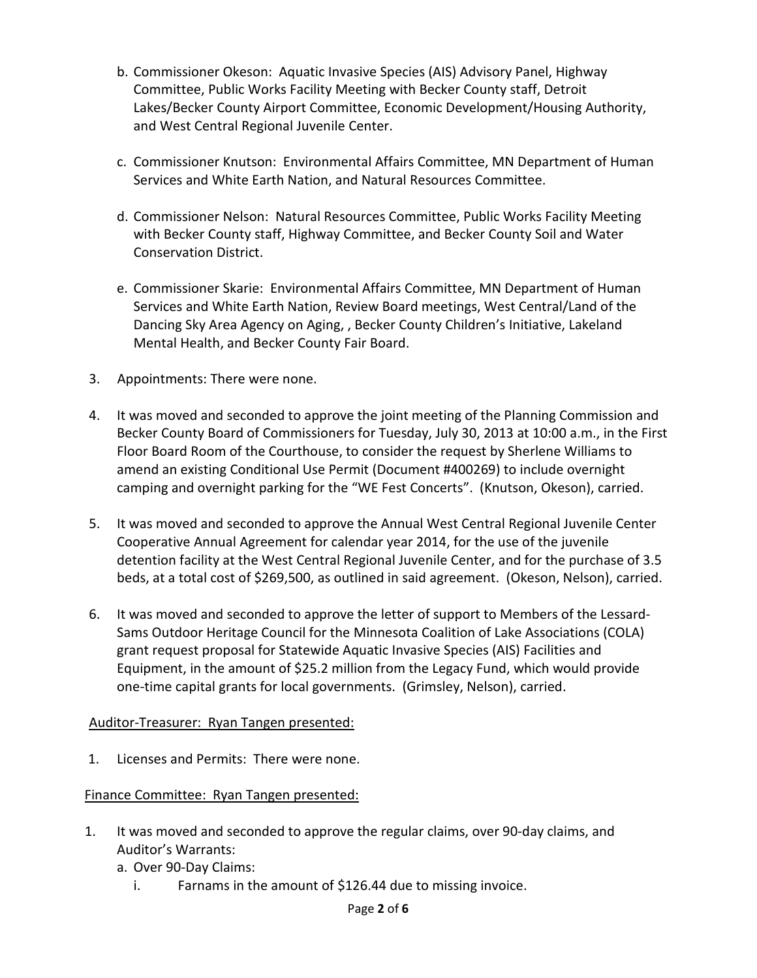- b. Commissioner Okeson: Aquatic Invasive Species (AIS) Advisory Panel, Highway Committee, Public Works Facility Meeting with Becker County staff, Detroit Lakes/Becker County Airport Committee, Economic Development/Housing Authority, and West Central Regional Juvenile Center.
- c. Commissioner Knutson: Environmental Affairs Committee, MN Department of Human Services and White Earth Nation, and Natural Resources Committee.
- d. Commissioner Nelson: Natural Resources Committee, Public Works Facility Meeting with Becker County staff, Highway Committee, and Becker County Soil and Water Conservation District.
- e. Commissioner Skarie: Environmental Affairs Committee, MN Department of Human Services and White Earth Nation, Review Board meetings, West Central/Land of the Dancing Sky Area Agency on Aging, , Becker County Children's Initiative, Lakeland Mental Health, and Becker County Fair Board.
- 3. Appointments: There were none.
- 4. It was moved and seconded to approve the joint meeting of the Planning Commission and Becker County Board of Commissioners for Tuesday, July 30, 2013 at 10:00 a.m., in the First Floor Board Room of the Courthouse, to consider the request by Sherlene Williams to amend an existing Conditional Use Permit (Document #400269) to include overnight camping and overnight parking for the "WE Fest Concerts". (Knutson, Okeson), carried.
- 5. It was moved and seconded to approve the Annual West Central Regional Juvenile Center Cooperative Annual Agreement for calendar year 2014, for the use of the juvenile detention facility at the West Central Regional Juvenile Center, and for the purchase of 3.5 beds, at a total cost of \$269,500, as outlined in said agreement. (Okeson, Nelson), carried.
- 6. It was moved and seconded to approve the letter of support to Members of the Lessard-Sams Outdoor Heritage Council for the Minnesota Coalition of Lake Associations (COLA) grant request proposal for Statewide Aquatic Invasive Species (AIS) Facilities and Equipment, in the amount of \$25.2 million from the Legacy Fund, which would provide one-time capital grants for local governments. (Grimsley, Nelson), carried.

#### Auditor-Treasurer: Ryan Tangen presented:

1. Licenses and Permits: There were none.

#### Finance Committee: Ryan Tangen presented:

- 1. It was moved and seconded to approve the regular claims, over 90-day claims, and Auditor's Warrants:
	- a. Over 90-Day Claims:
		- i. Farnams in the amount of \$126.44 due to missing invoice.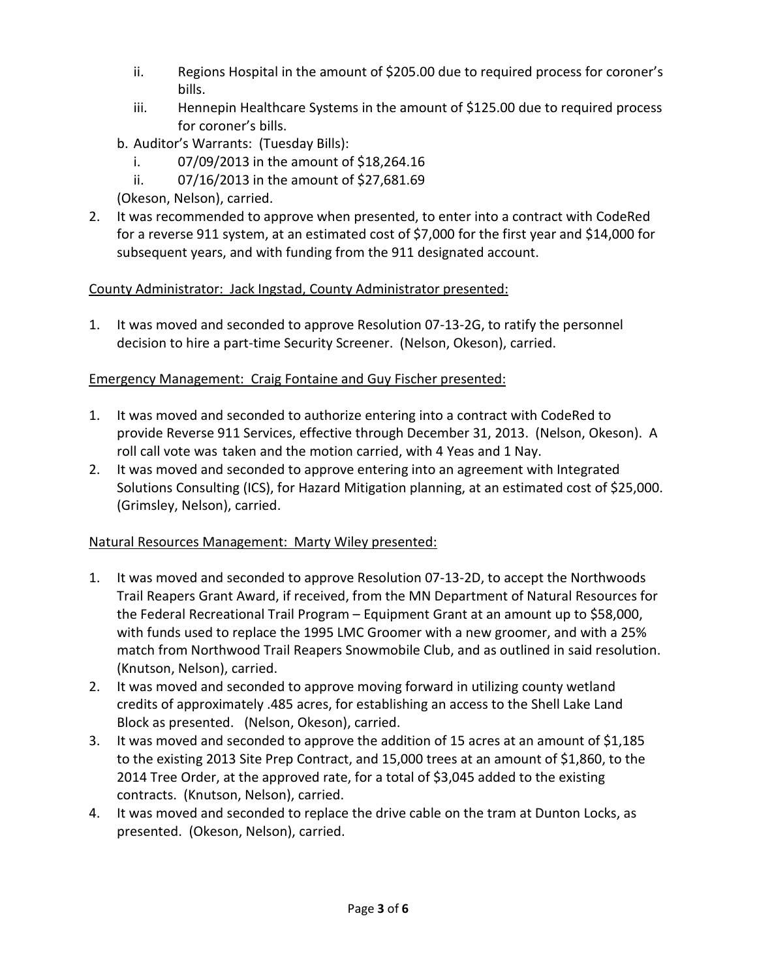- ii. Regions Hospital in the amount of \$205.00 due to required process for coroner's bills.
- iii. Hennepin Healthcare Systems in the amount of \$125.00 due to required process for coroner's bills.
- b. Auditor's Warrants: (Tuesday Bills):
	- i. 07/09/2013 in the amount of \$18,264.16
	- ii. 07/16/2013 in the amount of \$27,681.69
- (Okeson, Nelson), carried.
- 2. It was recommended to approve when presented, to enter into a contract with CodeRed for a reverse 911 system, at an estimated cost of \$7,000 for the first year and \$14,000 for subsequent years, and with funding from the 911 designated account.

# County Administrator: Jack Ingstad, County Administrator presented:

1. It was moved and seconded to approve Resolution 07-13-2G, to ratify the personnel decision to hire a part-time Security Screener. (Nelson, Okeson), carried.

# Emergency Management: Craig Fontaine and Guy Fischer presented:

- 1. It was moved and seconded to authorize entering into a contract with CodeRed to provide Reverse 911 Services, effective through December 31, 2013. (Nelson, Okeson). A roll call vote was taken and the motion carried, with 4 Yeas and 1 Nay.
- 2. It was moved and seconded to approve entering into an agreement with Integrated Solutions Consulting (ICS), for Hazard Mitigation planning, at an estimated cost of \$25,000. (Grimsley, Nelson), carried.

# Natural Resources Management: Marty Wiley presented:

- 1. It was moved and seconded to approve Resolution 07-13-2D, to accept the Northwoods Trail Reapers Grant Award, if received, from the MN Department of Natural Resources for the Federal Recreational Trail Program – Equipment Grant at an amount up to \$58,000, with funds used to replace the 1995 LMC Groomer with a new groomer, and with a 25% match from Northwood Trail Reapers Snowmobile Club, and as outlined in said resolution. (Knutson, Nelson), carried.
- 2. It was moved and seconded to approve moving forward in utilizing county wetland credits of approximately .485 acres, for establishing an access to the Shell Lake Land Block as presented. (Nelson, Okeson), carried.
- 3. It was moved and seconded to approve the addition of 15 acres at an amount of \$1,185 to the existing 2013 Site Prep Contract, and 15,000 trees at an amount of \$1,860, to the 2014 Tree Order, at the approved rate, for a total of \$3,045 added to the existing contracts. (Knutson, Nelson), carried.
- 4. It was moved and seconded to replace the drive cable on the tram at Dunton Locks, as presented. (Okeson, Nelson), carried.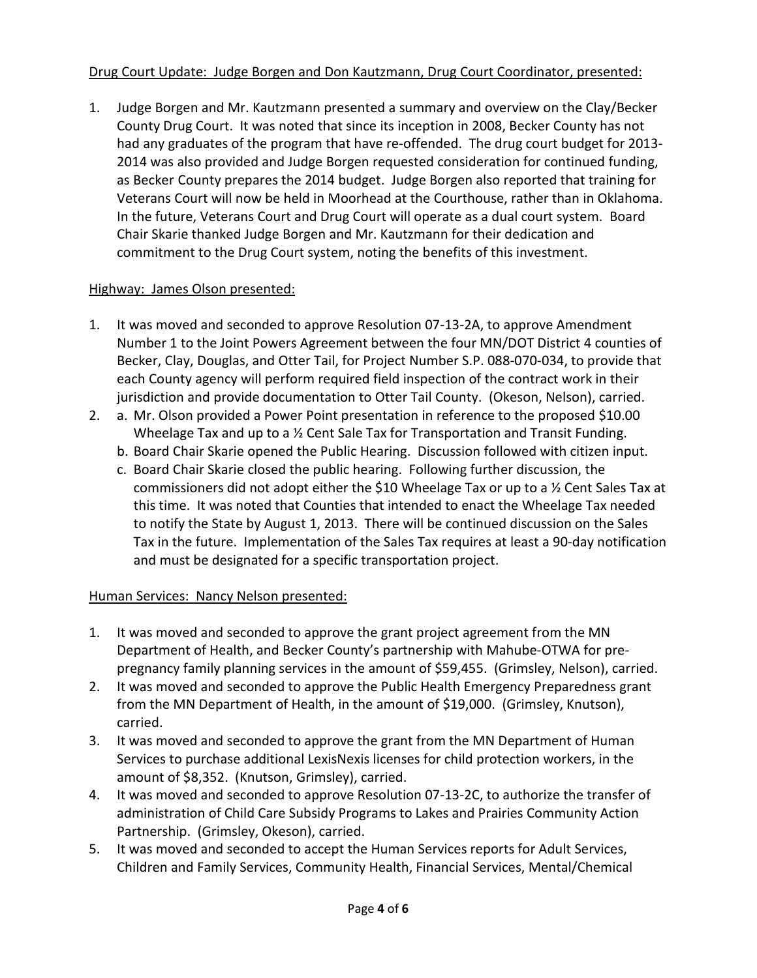### Drug Court Update: Judge Borgen and Don Kautzmann, Drug Court Coordinator, presented:

1. Judge Borgen and Mr. Kautzmann presented a summary and overview on the Clay/Becker County Drug Court. It was noted that since its inception in 2008, Becker County has not had any graduates of the program that have re-offended. The drug court budget for 2013- 2014 was also provided and Judge Borgen requested consideration for continued funding, as Becker County prepares the 2014 budget. Judge Borgen also reported that training for Veterans Court will now be held in Moorhead at the Courthouse, rather than in Oklahoma. In the future, Veterans Court and Drug Court will operate as a dual court system. Board Chair Skarie thanked Judge Borgen and Mr. Kautzmann for their dedication and commitment to the Drug Court system, noting the benefits of this investment.

#### Highway: James Olson presented:

- 1. It was moved and seconded to approve Resolution 07-13-2A, to approve Amendment Number 1 to the Joint Powers Agreement between the four MN/DOT District 4 counties of Becker, Clay, Douglas, and Otter Tail, for Project Number S.P. 088-070-034, to provide that each County agency will perform required field inspection of the contract work in their jurisdiction and provide documentation to Otter Tail County. (Okeson, Nelson), carried.
- 2. a. Mr. Olson provided a Power Point presentation in reference to the proposed \$10.00 Wheelage Tax and up to a ½ Cent Sale Tax for Transportation and Transit Funding.
	- b. Board Chair Skarie opened the Public Hearing. Discussion followed with citizen input.
	- c. Board Chair Skarie closed the public hearing. Following further discussion, the commissioners did not adopt either the \$10 Wheelage Tax or up to a ½ Cent Sales Tax at this time. It was noted that Counties that intended to enact the Wheelage Tax needed to notify the State by August 1, 2013. There will be continued discussion on the Sales Tax in the future. Implementation of the Sales Tax requires at least a 90-day notification and must be designated for a specific transportation project.

# Human Services: Nancy Nelson presented:

- 1. It was moved and seconded to approve the grant project agreement from the MN Department of Health, and Becker County's partnership with Mahube-OTWA for prepregnancy family planning services in the amount of \$59,455. (Grimsley, Nelson), carried.
- 2. It was moved and seconded to approve the Public Health Emergency Preparedness grant from the MN Department of Health, in the amount of \$19,000. (Grimsley, Knutson), carried.
- 3. It was moved and seconded to approve the grant from the MN Department of Human Services to purchase additional LexisNexis licenses for child protection workers, in the amount of \$8,352. (Knutson, Grimsley), carried.
- 4. It was moved and seconded to approve Resolution 07-13-2C, to authorize the transfer of administration of Child Care Subsidy Programs to Lakes and Prairies Community Action Partnership. (Grimsley, Okeson), carried.
- 5. It was moved and seconded to accept the Human Services reports for Adult Services, Children and Family Services, Community Health, Financial Services, Mental/Chemical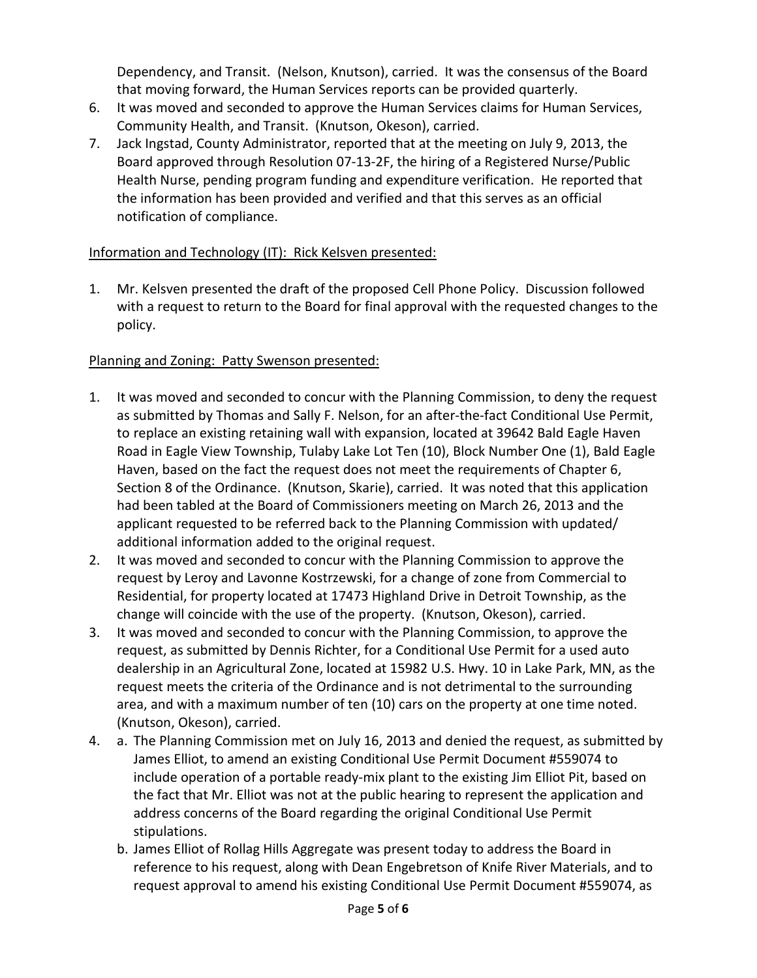Dependency, and Transit. (Nelson, Knutson), carried. It was the consensus of the Board that moving forward, the Human Services reports can be provided quarterly.

- 6. It was moved and seconded to approve the Human Services claims for Human Services, Community Health, and Transit. (Knutson, Okeson), carried.
- 7. Jack Ingstad, County Administrator, reported that at the meeting on July 9, 2013, the Board approved through Resolution 07-13-2F, the hiring of a Registered Nurse/Public Health Nurse, pending program funding and expenditure verification. He reported that the information has been provided and verified and that this serves as an official notification of compliance.

### Information and Technology (IT): Rick Kelsven presented:

1. Mr. Kelsven presented the draft of the proposed Cell Phone Policy. Discussion followed with a request to return to the Board for final approval with the requested changes to the policy.

# Planning and Zoning: Patty Swenson presented:

- 1. It was moved and seconded to concur with the Planning Commission, to deny the request as submitted by Thomas and Sally F. Nelson, for an after-the-fact Conditional Use Permit, to replace an existing retaining wall with expansion, located at 39642 Bald Eagle Haven Road in Eagle View Township, Tulaby Lake Lot Ten (10), Block Number One (1), Bald Eagle Haven, based on the fact the request does not meet the requirements of Chapter 6, Section 8 of the Ordinance. (Knutson, Skarie), carried. It was noted that this application had been tabled at the Board of Commissioners meeting on March 26, 2013 and the applicant requested to be referred back to the Planning Commission with updated/ additional information added to the original request.
- 2. It was moved and seconded to concur with the Planning Commission to approve the request by Leroy and Lavonne Kostrzewski, for a change of zone from Commercial to Residential, for property located at 17473 Highland Drive in Detroit Township, as the change will coincide with the use of the property. (Knutson, Okeson), carried.
- 3. It was moved and seconded to concur with the Planning Commission, to approve the request, as submitted by Dennis Richter, for a Conditional Use Permit for a used auto dealership in an Agricultural Zone, located at 15982 U.S. Hwy. 10 in Lake Park, MN, as the request meets the criteria of the Ordinance and is not detrimental to the surrounding area, and with a maximum number of ten (10) cars on the property at one time noted. (Knutson, Okeson), carried.
- 4. a. The Planning Commission met on July 16, 2013 and denied the request, as submitted by James Elliot, to amend an existing Conditional Use Permit Document #559074 to include operation of a portable ready-mix plant to the existing Jim Elliot Pit, based on the fact that Mr. Elliot was not at the public hearing to represent the application and address concerns of the Board regarding the original Conditional Use Permit stipulations.
	- b. James Elliot of Rollag Hills Aggregate was present today to address the Board in reference to his request, along with Dean Engebretson of Knife River Materials, and to request approval to amend his existing Conditional Use Permit Document #559074, as